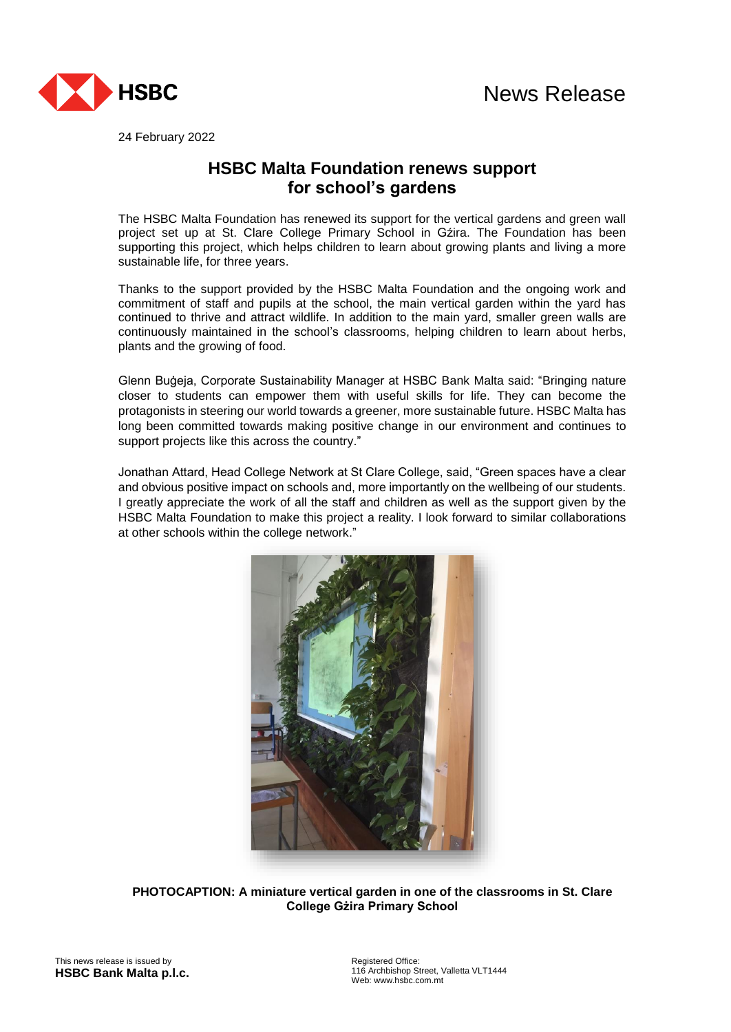

24 February 2022

## **HSBC Malta Foundation renews support for school's gardens**

The HSBC Malta Foundation has renewed its support for the vertical gardens and green wall project set up at St. Clare College Primary School in Gźira. The Foundation has been supporting this project, which helps children to learn about growing plants and living a more sustainable life, for three years.

Thanks to the support provided by the HSBC Malta Foundation and the ongoing work and commitment of staff and pupils at the school, the main vertical garden within the yard has continued to thrive and attract wildlife. In addition to the main yard, smaller green walls are continuously maintained in the school's classrooms, helping children to learn about herbs, plants and the growing of food.

Glenn Buġeja, Corporate Sustainability Manager at HSBC Bank Malta said: "Bringing nature closer to students can empower them with useful skills for life. They can become the protagonists in steering our world towards a greener, more sustainable future. HSBC Malta has long been committed towards making positive change in our environment and continues to support projects like this across the country."

Jonathan Attard, Head College Network at St Clare College, said, "Green spaces have a clear and obvious positive impact on schools and, more importantly on the wellbeing of our students. I greatly appreciate the work of all the staff and children as well as the support given by the HSBC Malta Foundation to make this project a reality. I look forward to similar collaborations at other schools within the college network."



**PHOTOCAPTION: A miniature vertical garden in one of the classrooms in St. Clare College Gżira Primary School**